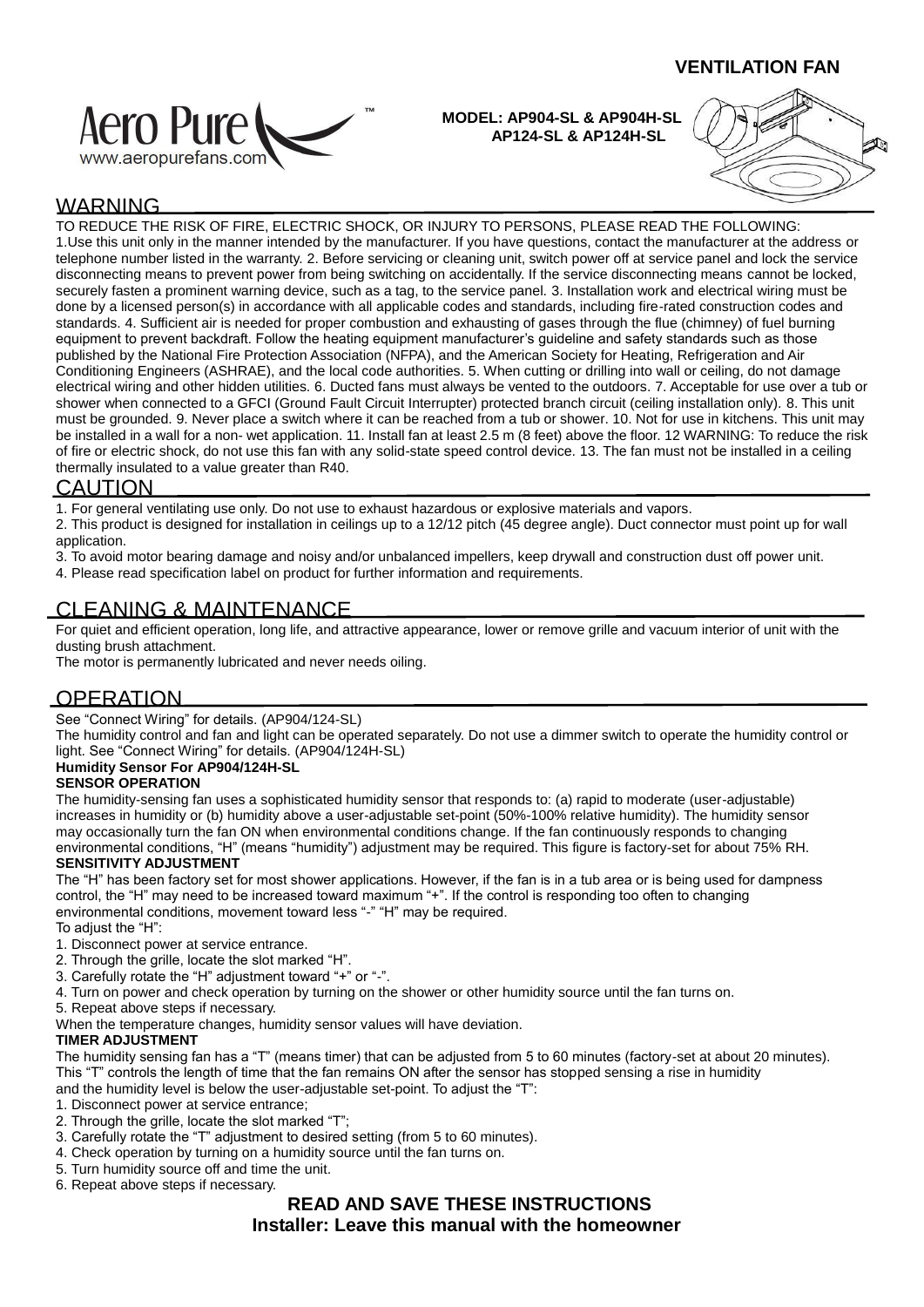### **VENTILATION FAN**



 **MODEL: AP904-SL & AP904H-SL AP124-SL & AP124H-SL**



# WARNING

TO REDUCE THE RISK OF FIRE, ELECTRIC SHOCK, OR INJURY TO PERSONS, PLEASE READ THE FOLLOWING: 1.Use this unit only in the manner intended by the manufacturer. If you have questions, contact the manufacturer at the address or telephone number listed in the warranty. 2. Before servicing or cleaning unit, switch power off at service panel and lock the service disconnecting means to prevent power from being switching on accidentally. If the service disconnecting means cannot be locked, securely fasten a prominent warning device, such as a tag, to the service panel. 3. Installation work and electrical wiring must be done by a licensed person(s) in accordance with all applicable codes and standards, including fire-rated construction codes and standards. 4. Sufficient air is needed for proper combustion and exhausting of gases through the flue (chimney) of fuel burning equipment to prevent backdraft. Follow the heating equipment manufacturer's guideline and safety standards such as those published by the National Fire Protection Association (NFPA), and the American Society for Heating, Refrigeration and Air Conditioning Engineers (ASHRAE), and the local code authorities. 5. When cutting or drilling into wall or ceiling, do not damage electrical wiring and other hidden utilities. 6. Ducted fans must always be vented to the outdoors. 7. Acceptable for use over a tub or shower when connected to a GFCI (Ground Fault Circuit Interrupter) protected branch circuit (ceiling installation only). 8. This unit must be grounded. 9. Never place a switch where it can be reached from a tub or shower. 10. Not for use in kitchens. This unit may be installed in a wall for a non- wet application. 11. Install fan at least 2.5 m (8 feet) above the floor. 12 WARNING: To reduce the risk of fire or electric shock, do not use this fan with any solid-state speed control device. 13. The fan must not be installed in a ceiling thermally insulated to a value greater than R40.

### CAUTION

1. For general ventilating use only. Do not use to exhaust hazardous or explosive materials and vapors.

2. This product is designed for installation in ceilings up to a 12/12 pitch (45 degree angle). Duct connector must point up for wall application.

3. To avoid motor bearing damage and noisy and/or unbalanced impellers, keep drywall and construction dust off power unit. 4. Please read specification label on product for further information and requirements.

## CLEANING & MAINTENANCE

For quiet and efficient operation, long life, and attractive appearance, lower or remove grille and vacuum interior of unit with the dusting brush attachment.

The motor is permanently lubricated and never needs oiling.

## **OPERATION**

See "Connect Wiring" for details. (AP904/124-SL)

The humidity control and fan and light can be operated separately. Do not use a dimmer switch to operate the humidity control or light. See "Connect Wiring" for details. (AP904/124H-SL)

#### **Humidity Sensor For AP904/124H-SL**

#### **SENSOR OPERATION**

The humidity-sensing fan uses a sophisticated humidity sensor that responds to: (a) rapid to moderate (user-adjustable) increases in humidity or (b) humidity above a user-adjustable set-point (50%-100% relative humidity). The humidity sensor may occasionally turn the fan ON when environmental conditions change. If the fan continuously responds to changing environmental conditions, "H" (means "humidity") adjustment may be required. This figure is factory-set for about 75% RH.

#### **SENSITIVITY ADJUSTMENT**

The "H" has been factory set for most shower applications. However, if the fan is in a tub area or is being used for dampness control, the "H" may need to be increased toward maximum "+". If the control is responding too often to changing environmental conditions, movement toward less "-" "H" may be required.

- To adjust the "H":
- 1. Disconnect power at service entrance.
- 2. Through the grille, locate the slot marked "H".
- 3. Carefully rotate the "H" adjustment toward "+" or "-".
- 4. Turn on power and check operation by turning on the shower or other humidity source until the fan turns on.
- 5. Repeat above steps if necessary.
- When the temperature changes, humidity sensor values will have deviation.

#### **TIMER ADJUSTMENT**

The humidity sensing fan has a "T" (means timer) that can be adjusted from 5 to 60 minutes (factory-set at about 20 minutes). This "T" controls the length of time that the fan remains ON after the sensor has stopped sensing a rise in humidity

- and the humidity level is below the user-adjustable set-point. To adjust the "T":
- 1. Disconnect power at service entrance;
- 2. Through the grille, locate the slot marked "T";
- 3. Carefully rotate the "T" adjustment to desired setting (from 5 to 60 minutes).
- 4. Check operation by turning on a humidity source until the fan turns on.
- 5. Turn humidity source off and time the unit.
- 6. Repeat above steps if necessary.

## **READ AND SAVE THESE INSTRUCTIONS Installer: Leave this manual with the homeowner**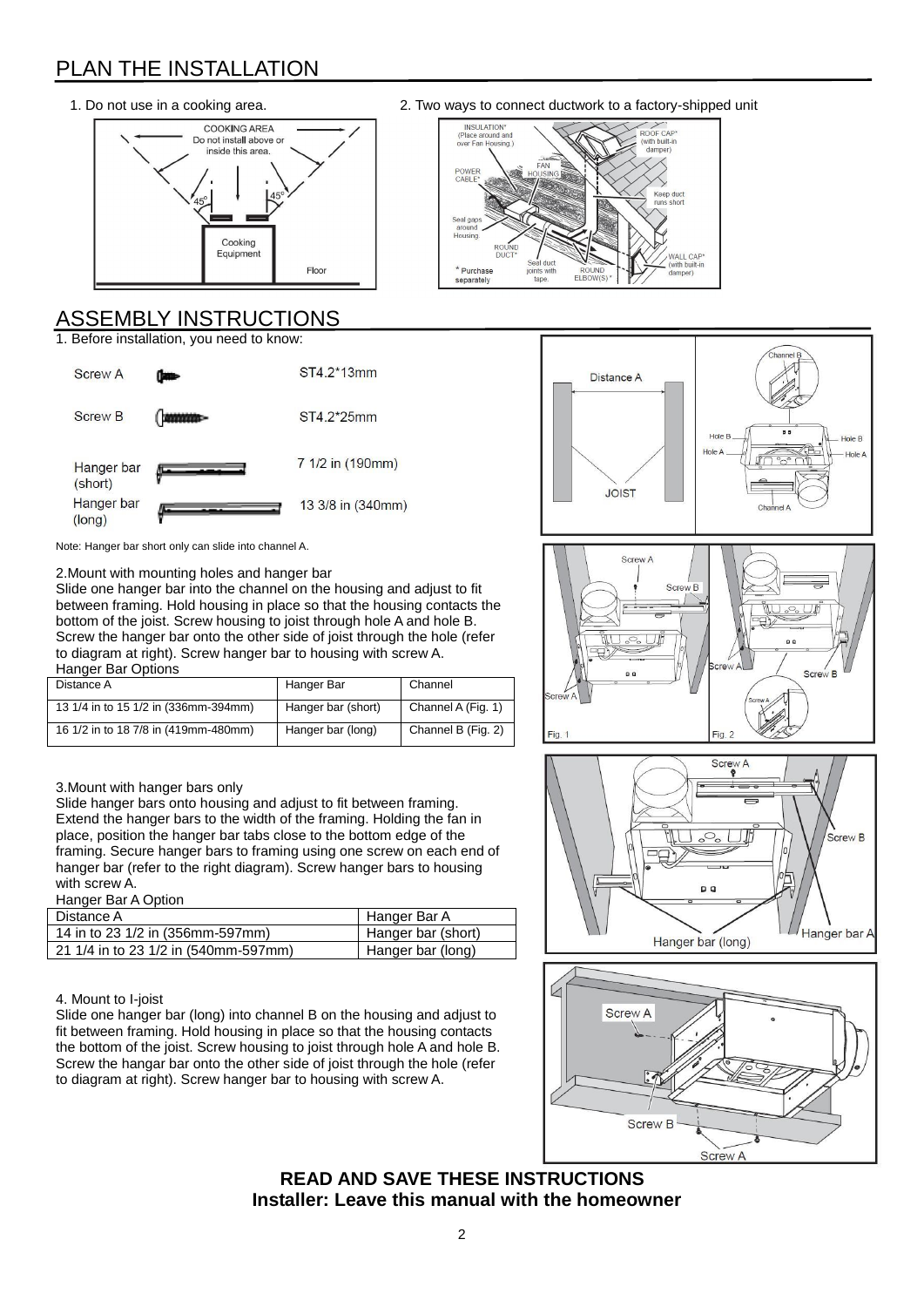# PLAN THE INSTALLATION



# ASSEMBLY INSTRUCTIONS

1. Before installation, you need to know:



1. Do not use in a cooking area. 2. Two ways to connect ductwork to a factory-shipped unit





![](_page_1_Figure_9.jpeg)

![](_page_1_Figure_10.jpeg)

## **READ AND SAVE THESE INSTRUCTIONS Installer: Leave this manual with the homeowner**

#### Note: Hanger bar short only can slide into channel A.

2.Mount with mounting holes and hanger bar Slide one hanger bar into the channel on the housing and adjust to fit between framing. Hold housing in place so that the housing contacts the bottom of the joist. Screw housing to joist through hole A and hole B. Screw the hanger bar onto the other side of joist through the hole (refer to diagram at right). Screw hanger bar to housing with screw A. Hanger Bar Options

| Distance A                           | Hanger Bar         | Channel            |
|--------------------------------------|--------------------|--------------------|
| 13 1/4 in to 15 1/2 in (336mm-394mm) | Hanger bar (short) | Channel A (Fig. 1) |
| 16 1/2 in to 18 7/8 in (419mm-480mm) | Hanger bar (long)  | Channel B (Fig. 2) |

#### 3.Mount with hanger bars only

Slide hanger bars onto housing and adjust to fit between framing. Extend the hanger bars to the width of the framing. Holding the fan in place, position the hanger bar tabs close to the bottom edge of the framing. Secure hanger bars to framing using one screw on each end of hanger bar (refer to the right diagram). Screw hanger bars to housing with screw A.

#### **Hanger Bar A Option**

| Distance A                           | Hanger Bar A       |
|--------------------------------------|--------------------|
| 14 in to 23 1/2 in (356mm-597mm)     | Hanger bar (short) |
| 21 1/4 in to 23 1/2 in (540mm-597mm) | Hanger bar (long)  |

#### 4. Mount to I-joist

Slide one hanger bar (long) into channel B on the housing and adjust to fit between framing. Hold housing in place so that the housing contacts the bottom of the joist. Screw housing to joist through hole A and hole B. Screw the hangar bar onto the other side of joist through the hole (refer to diagram at right). Screw hanger bar to housing with screw A.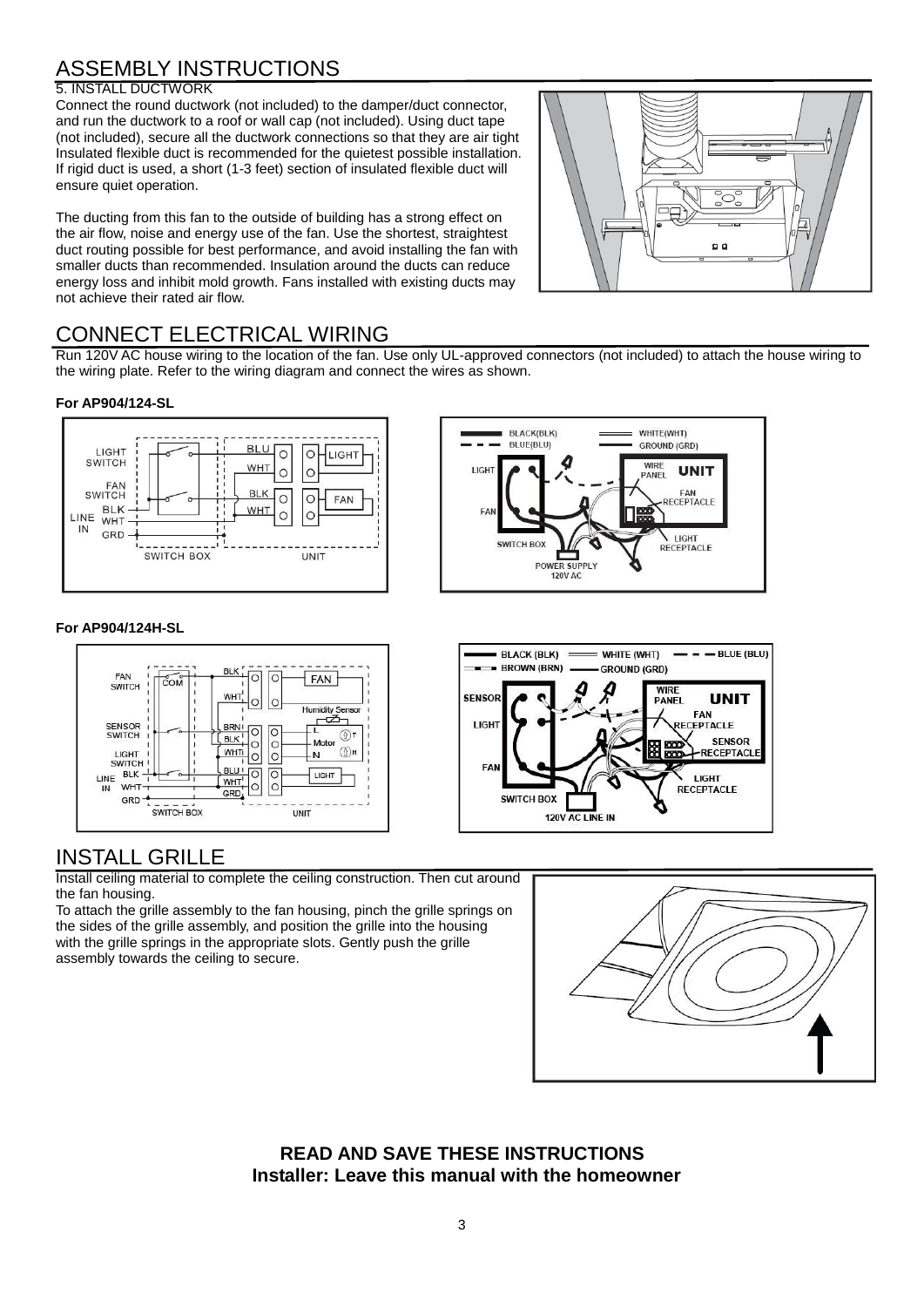# ASSEMBLY INSTRUCTIONS

#### 5. INSTALL DUCTWORK

Connect the round ductwork (not included) to the damper/duct connector, and run the ductwork to a roof or wall cap (not included). Using duct tape (not included), secure all the ductwork connections so that they are air tight Insulated flexible duct is recommended for the quietest possible installation. If rigid duct is used, a short (1-3 feet) section of insulated flexible duct will ensure quiet operation.

The ducting from this fan to the outside of building has a strong effect on the air flow, noise and energy use of the fan. Use the shortest, straightest duct routing possible for best performance, and avoid installing the fan with smaller ducts than recommended. Insulation around the ducts can reduce energy loss and inhibit mold growth. Fans installed with existing ducts may not achieve their rated air flow.

![](_page_2_Figure_4.jpeg)

# CONNECT ELECTRICAL WIRING

Run 120V AC house wiring to the location of the fan. Use only UL-approved connectors (not included) to attach the house wiring to the wiring plate. Refer to the wiring diagram and connect the wires as shown.

#### **For AP904/124-SL**

![](_page_2_Figure_8.jpeg)

#### **For AP904/124H-SL**

![](_page_2_Figure_10.jpeg)

## INSTALL GRILLE

Install ceiling material to complete the ceiling construction. Then cut around the fan housing.

To attach the grille assembly to the fan housing, pinch the grille springs on the sides of the grille assembly, and position the grille into the housing with the grille springs in the appropriate slots. Gently push the grille assembly towards the ceiling to secure.

![](_page_2_Figure_14.jpeg)

 $-$  BLUE (BLU)

**UNIT** 

**SENSOR** 

-RECEPTACLI

FAN

**LIGHT** 

 **READ AND SAVE THESE INSTRUCTIONS Installer: Leave this manual with the homeowner**